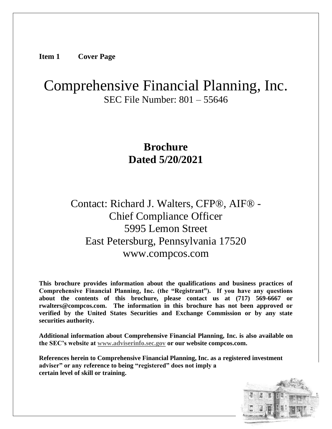**Item 1 Cover Page**

# Comprehensive Financial Planning, Inc. SEC File Number: 801 – 55646

## **Brochure Dated 5/20/2021**

Contact: Richard J. Walters, CFP®, AIF® - Chief Compliance Officer 5995 Lemon Street East Petersburg, Pennsylvania 17520 www.compcos.com

**This brochure provides information about the qualifications and business practices of Comprehensive Financial Planning, Inc. (the "Registrant"). If you have any questions about the contents of this brochure, please contact us at (717) 569-6667 or rwalters@compcos.com. The information in this brochure has not been approved or verified by the United States Securities and Exchange Commission or by any state securities authority.**

**Additional information about Comprehensive Financial Planning, Inc. is also available on the SEC's website at [www.adviserinfo.sec.gov](http://www.adviserinfo.sec.gov/) or our website compcos.com.**

**References herein to Comprehensive Financial Planning, Inc. as a registered investment adviser" or any reference to being "registered" does not imply a certain level of skill or training.**

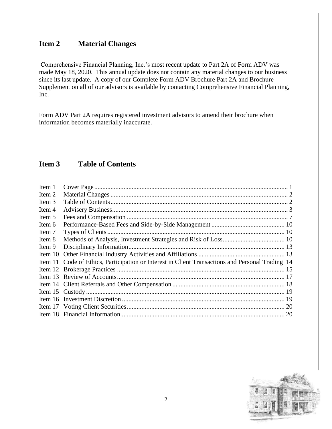#### **Item 2 Material Changes**

Comprehensive Financial Planning, Inc.'s most recent update to Part 2A of Form ADV was made May 18, 2020. This annual update does not contain any material changes to our business since its last update. A copy of our Complete Form ADV Brochure Part 2A and Brochure Supplement on all of our advisors is available by contacting Comprehensive Financial Planning, Inc.

Form ADV Part 2A requires registered investment advisors to amend their brochure when information becomes materially inaccurate.

#### **Item 3 Table of Contents**

| Item 11 Code of Ethics, Participation or Interest in Client Transactions and Personal Trading 14 |
|--------------------------------------------------------------------------------------------------|
|                                                                                                  |
|                                                                                                  |
|                                                                                                  |
|                                                                                                  |
|                                                                                                  |
| 20                                                                                               |
| 20                                                                                               |
|                                                                                                  |

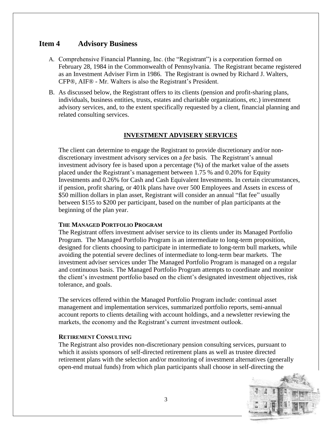#### **Item 4 Advisory Business**

- A. Comprehensive Financial Planning, Inc. (the "Registrant") is a corporation formed on February 28, 1984 in the Commonwealth of Pennsylvania. The Registrant became registered as an Investment Adviser Firm in 1986. The Registrant is owned by Richard J. Walters, CFP®, AIF® - Mr. Walters is also the Registrant's President.
- B. As discussed below, the Registrant offers to its clients (pension and profit-sharing plans, individuals, business entities, trusts, estates and charitable organizations, etc.) investment advisory services, and, to the extent specifically requested by a client, financial planning and related consulting services.

#### **INVESTMENT ADVISERY SERVICES**

The client can determine to engage the Registrant to provide discretionary and/or nondiscretionary investment advisory services on a *fee* basis. The Registrant's annual investment advisory fee is based upon a percentage (%) of the market value of the assets placed under the Registrant's management between 1.75 % and 0.20% for Equity Investments and 0.26% for Cash and Cash Equivalent Investments. In certain circumstances, if pension, profit sharing, or 401k plans have over 500 Employees and Assets in excess of \$50 million dollars in plan asset, Registrant will consider an annual "flat fee" usually between \$155 to \$200 per participant, based on the number of plan participants at the beginning of the plan year.

#### **THE MANAGED PORTFOLIO PROGRAM**

The Registrant offers investment adviser service to its clients under its Managed Portfolio Program. The Managed Portfolio Program is an intermediate to long-term proposition, designed for clients choosing to participate in intermediate to long-term bull markets, while avoiding the potential severe declines of intermediate to long-term bear markets. The investment adviser services under The Managed Portfolio Program is managed on a regular and continuous basis. The Managed Portfolio Program attempts to coordinate and monitor the client's investment portfolio based on the client's designated investment objectives, risk tolerance, and goals.

The services offered within the Managed Portfolio Program include: continual asset management and implementation services, summarized portfolio reports, semi-annual account reports to clients detailing with account holdings, and a newsletter reviewing the markets, the economy and the Registrant's current investment outlook.

#### **RETIREMENT CONSULTING**

The Registrant also provides non-discretionary pension consulting services, pursuant to which it assists sponsors of self-directed retirement plans as well as trustee directed retirement plans with the selection and/or monitoring of investment alternatives (generally open-end mutual funds) from which plan participants shall choose in self-directing the

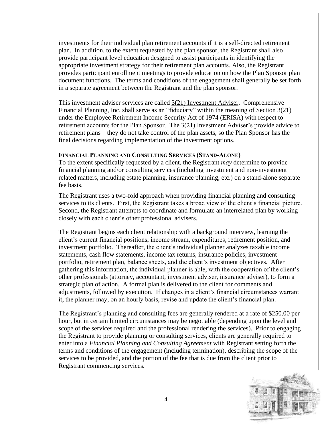investments for their individual plan retirement accounts if it is a self-directed retirement plan. In addition, to the extent requested by the plan sponsor, the Registrant shall also provide participant level education designed to assist participants in identifying the appropriate investment strategy for their retirement plan accounts. Also, the Registrant provides participant enrollment meetings to provide education on how the Plan Sponsor plan document functions. The terms and conditions of the engagement shall generally be set forth in a separate agreement between the Registrant and the plan sponsor.

This investment adviser services are called 3(21) Investment Adviser. Comprehensive Financial Planning, Inc. shall serve as an "fiduciary" within the meaning of Section 3(21) under the Employee Retirement Income Security Act of 1974 (ERISA) with respect to retirement accounts for the Plan Sponsor. The 3(21) Investment Adviser's provide advice to retirement plans – they do not take control of the plan assets, so the Plan Sponsor has the final decisions regarding implementation of the investment options.

#### **FINANCIAL PLANNING AND CONSULTING SERVICES (STAND-ALONE)**

To the extent specifically requested by a client, the Registrant *may* determine to provide financial planning and/or consulting services (including investment and non-investment related matters, including estate planning, insurance planning, etc.) on a stand-alone separate fee basis.

The Registrant uses a two-fold approach when providing financial planning and consulting services to its clients. First, the Registrant takes a broad view of the client's financial picture. Second, the Registrant attempts to coordinate and formulate an interrelated plan by working closely with each client's other professional advisers.

The Registrant begins each client relationship with a background interview, learning the client's current financial positions, income stream, expenditures, retirement position, and investment portfolio. Thereafter, the client's individual planner analyzes taxable income statements, cash flow statements, income tax returns, insurance policies, investment portfolio, retirement plan, balance sheets, and the client's investment objectives. After gathering this information, the individual planner is able, with the cooperation of the client's other professionals (attorney, accountant, investment adviser, insurance adviser), to form a strategic plan of action. A formal plan is delivered to the client for comments and adjustments, followed by execution. If changes in a client's financial circumstances warrant it, the planner may, on an hourly basis, revise and update the client's financial plan.

The Registrant's planning and consulting fees are generally rendered at a rate of \$250.00 per hour, but in certain limited circumstances may be negotiable (depending upon the level and scope of the services required and the professional rendering the services). Prior to engaging the Registrant to provide planning or consulting services, clients are generally required to enter into a *Financial Planning and Consulting Agreement* with Registrant setting forth the terms and conditions of the engagement (including termination), describing the scope of the services to be provided, and the portion of the fee that is due from the client prior to Registrant commencing services.

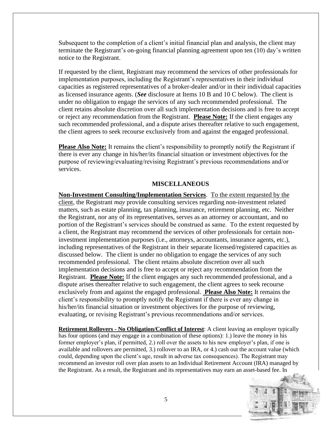Subsequent to the completion of a client's initial financial plan and analysis, the client may terminate the Registrant's on-going financial planning agreement upon ten (10) day's written notice to the Registrant.

If requested by the client, Registrant may recommend the services of other professionals for implementation purposes, including the Registrant's representatives in their individual capacities as registered representatives of a broker-dealer and/or in their individual capacities as licensed insurance agents. (*See* disclosure at Items 10 B and 10 C below). The client is under no obligation to engage the services of any such recommended professional. The client retains absolute discretion over all such implementation decisions and is free to accept or reject any recommendation from the Registrant. **Please Note:** If the client engages any such recommended professional, and a dispute arises thereafter relative to such engagement, the client agrees to seek recourse exclusively from and against the engaged professional.

**Please Also Note:** It remains the client's responsibility to promptly notify the Registrant if there is ever any change in his/her/its financial situation or investment objectives for the purpose of reviewing/evaluating/revising Registrant's previous recommendations and/or services.

#### **MISCELLANEOUS**

**Non-Investment Consulting/Implementation Services**. To the extent requested by the client, the Registrant *may* provide consulting services regarding non-investment related matters, such as estate planning, tax planning, insurance, retirement planning, etc. Neither the Registrant, nor any of its representatives, serves as an attorney or accountant, and no portion of the Registrant's services should be construed as same. To the extent requested by a client, the Registrant may recommend the services of other professionals for certain noninvestment implementation purposes (i.e., attorneys, accountants, insurance agents, etc.), including representatives of the Registrant in their separate licensed/registered capacities as discussed below. The client is under no obligation to engage the services of any such recommended professional. The client retains absolute discretion over all such implementation decisions and is free to accept or reject any recommendation from the Registrant. **Please Note:** If the client engages any such recommended professional, and a dispute arises thereafter relative to such engagement, the client agrees to seek recourse exclusively from and against the engaged professional. **Please Also Note:** It remains the client's responsibility to promptly notify the Registrant if there is ever any change in his/her/its financial situation or investment objectives for the purpose of reviewing, evaluating, or revising Registrant's previous recommendations and/or services.

**Retirement Rollovers - No Obligation/Conflict of Interest**: A client leaving an employer typically has four options (and may engage in a combination of these options): 1.) leave the money in his former employer's plan, if permitted, 2.) roll over the assets to his new employer's plan, if one is available and rollovers are permitted, 3.) rollover to an IRA, or 4.) cash out the account value (which could, depending upon the client's age, result in adverse tax consequences). The Registrant may recommend an investor roll over plan assets to an Individual Retirement Account (IRA) managed by the Registrant. As a result, the Registrant and its representatives may earn an asset-based fee. In

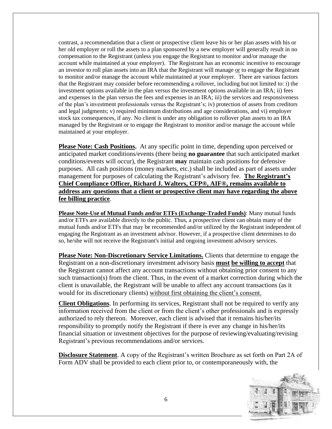contrast, a recommendation that a client or prospective client leave his or her plan assets with his or her old employer or roll the assets to a plan sponsored by a new employer will generally result in no compensation to the Registrant (unless you engage the Registrant to monitor and/or manage the account while maintained at your employer). The Registrant has an economic incentive to encourage an investor to roll plan assets into an IRA that the Registrant will manage or to engage the Registrant to monitor and/or manage the account while maintained at your employer. There are various factors that the Registrant may consider before recommending a rollover, including but not limited to: i) the investment options available in the plan versus the investment options available in an IRA; ii) fees and expenses in the plan versus the fees and expenses in an IRA; iii) the services and responsiveness of the plan's investment professionals versus the Registrant's; iv) protection of assets from creditors and legal judgments; v) required minimum distributions and age considerations, and vi) employer stock tax consequences, if any. No client is under any obligation to rollover plan assets to an IRA managed by the Registrant or to engage the Registrant to monitor and/or manage the account while maintained at your employer.

**Please Note: Cash Positions.** At any specific point in time, depending upon perceived or anticipated market conditions/events (there being **no guarantee** that such anticipated market conditions/events will occur), the Registrant **may** maintain cash positions for defensive purposes. All cash positions (money markets, etc.) shall be included as part of assets under management for purposes of calculating the Registrant's advisory fee. **The Registrant's Chief Compliance Officer, Richard J. Walters, CFP®, AIF®, remains available to address any questions that a client or prospective client may have regarding the above fee billing practice**.

**Please Note-Use of Mutual Funds and/or ETFs (Exchange-Traded Funds)**: Many mutual funds and/or ETFs are available directly to the public. Thus, a prospective client can obtain many of the mutual funds and/or ETFs that may be recommended and/or utilized by the Registrant independent of engaging the Registrant as an investment advisor. However, if a prospective client determines to do so, he/she will not receive the Registrant's initial and ongoing investment advisory services.

**Please Note: Non-Discretionary Service Limitations.** Clients that determine to engage the Registrant on a non-discretionary investment advisory basis **must be willing to accept** that the Registrant cannot affect any account transactions without obtaining prior consent to any such transaction(s) from the client. Thus, in the event of a market correction during which the client is unavailable, the Registrant will be unable to affect any account transactions (as it would for its discretionary clients) without first obtaining the client's consent.

**Client Obligations**. In performing its services, Registrant shall not be required to verify any information received from the client or from the client's other professionals and is expressly authorized to rely thereon. Moreover, each client is advised that it remains his/her/its responsibility to promptly notify the Registrant if there is ever any change in his/her/its financial situation or investment objectives for the purpose of reviewing/evaluating/revising Registrant's previous recommendations and/or services.

**Disclosure Statement**. A copy of the Registrant's written Brochure as set forth on Part 2A of Form ADV shall be provided to each client prior to, or contemporaneously with, the

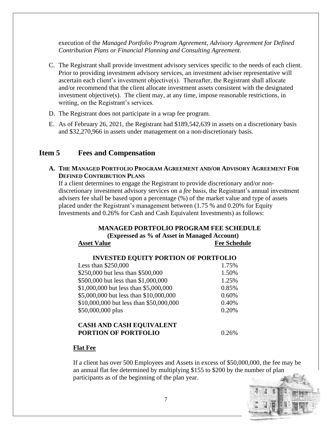execution of the *Managed Portfolio Program Agreement, Advisory Agreement for Defined Contribution Plans or Financial Planning and Consulting Agreement*.

- C. The Registrant shall provide investment advisory services specific to the needs of each client. Prior to providing investment advisory services, an investment adviser representative will ascertain each client's investment objective(s). Thereafter, the Registrant shall allocate and/or recommend that the client allocate investment assets consistent with the designated investment objective(s). The client may, at any time, impose reasonable restrictions, in writing, on the Registrant's services.
- D. The Registrant does not participate in a wrap fee program.
- E. As of February 26, 2021, the Registrant had \$189,542,639 in assets on a discretionary basis and \$32,270,966 in assets under management on a non-discretionary basis.

#### **Item 5 Fees and Compensation**

**A. THE MANAGED PORTFOLIO PROGRAM AGREEMENT AND/OR ADVISORY AGREEMENT FOR DEFINED CONTRIBUTION PLANS**

If a client determines to engage the Registrant to provide discretionary and/or nondiscretionary investment advisory services on a *fee* basis, the Registrant's annual investment advisers fee shall be based upon a percentage (%) of the market value and type of assets placed under the Registrant's management between (1.75 % and 0.20% for Equity Investments and 0.26% for Cash and Cash Equivalent Investments) as follows:

#### **MANAGED PORTFOLIO PROGRAM FEE SCHEDULE**

**(Expressed as % of Asset in Managed Account) Asset Value Fee Schedule**

| Less than $$250,000$                    | 1.75% |
|-----------------------------------------|-------|
| \$250,000 but less than \$500,000       | 1.50% |
| \$500,000 but less than \$1,000,000     | 1.25% |
| \$1,000,000 but less than \$5,000,000   | 0.85% |
| \$5,000,000 but less than \$10,000,000  | 0.60% |
| \$10,000,000 but less than \$50,000,000 | 0.40% |
| \$50,000,000 plus                       | 0.20% |
| <b>CASH AND CASH EQUIVALENT</b>         |       |
| <b>PORTION OF PORTFOLIO</b>             |       |

#### **Flat Fee**

If a client has over 500 Employees and Assets in excess of \$50,000,000, the fee may be an annual flat fee determined by multiplying \$155 to \$200 by the number of plan participants as of the beginning of the plan year.

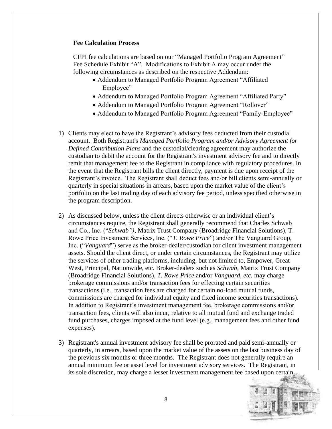#### **Fee Calculation Process**

CFPI fee calculations are based on our "Managed Portfolio Program Agreement" Fee Schedule Exhibit "A". Modifications to Exhibit A may occur under the following circumstances as described on the respective Addendum:

- Addendum to Managed Portfolio Program Agreement "Affiliated Employee"
- Addendum to Managed Portfolio Program Agreement "Affiliated Party"
- Addendum to Managed Portfolio Program Agreement "Rollover"
- Addendum to Managed Portfolio Program Agreement "Family-Employee"
- 1) Clients may elect to have the Registrant's advisory fees deducted from their custodial account. Both Registrant's *Managed Portfolio Program and/or Advisory Agreement for Defined Contribution Plans* and the custodial/clearing agreement may authorize the custodian to debit the account for the Registrant's investment advisory fee and to directly remit that management fee to the Registrant in compliance with regulatory procedures. In the event that the Registrant bills the client directly, payment is due upon receipt of the Registrant's invoice. The Registrant shall deduct fees and/or bill clients semi-annually or quarterly in special situations in arrears, based upon the market value of the client's portfolio on the last trading day of each advisory fee period, unless specified otherwise in the program description.
- 2) As discussed below, unless the client directs otherwise or an individual client's circumstances require, the Registrant shall generally recommend that Charles Schwab and Co., Inc. ("*Schwab")*, Matrix Trust Company (Broadridge Financial Solutions), T. Rowe Price Investment Services, Inc. ("*T. Rowe Price*") and/or The Vanguard Group, Inc. ("*Vanguard*") serve as the broker-dealer/custodian for client investment management assets. Should the client direct, or under certain circumstances, the Registrant may utilize the services of other trading platforms, including, but not limited to, Empower, Great West, Principal, Nationwide, etc. Broker-dealers such as *Schwab,* Matrix Trust Company (Broadridge Financial Solutions), *T. Rowe Price* and/or *Vanguard, etc.* may charge brokerage commissions and/or transaction fees for effecting certain securities transactions (i.e., transaction fees are charged for certain no-load mutual funds, commissions are charged for individual equity and fixed income securities transactions). In addition to Registrant's investment management fee, brokerage commissions and/or transaction fees, clients will also incur, relative to all mutual fund and exchange traded fund purchases, charges imposed at the fund level (e.g., management fees and other fund expenses).
- 3) Registrant's annual investment advisory fee shall be prorated and paid semi-annually or quarterly, in arrears, based upon the market value of the assets on the last business day of the previous six months or three months. The Registrant does not generally require an annual minimum fee or asset level for investment advisory services. The Registrant, in its sole discretion, may charge a lesser investment management fee based upon certain

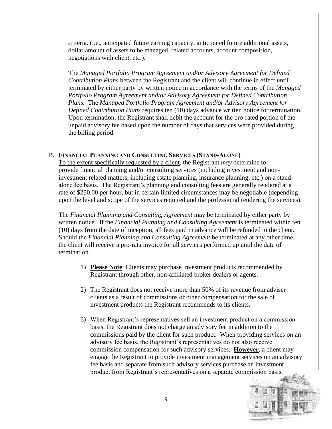criteria. (i.e., anticipated future earning capacity, anticipated future additional assets, dollar amount of assets to be managed, related accounts, account composition, negotiations with client, etc.).

The *Managed Portfolio Program Agreement and/or Advisory Agreement for Defined Contribution Plans* between the Registrant and the client will continue in effect until terminated by either party by written notice in accordance with the terms of the *Managed Portfolio Program Agreement and/or Advisory Agreement for Defined Contribution Plans.* The *Managed Portfolio Program Agreement and/or Advisory Agreement for Defined Contribution Plans* requires ten (10) days advance written notice for termination. Upon termination, the Registrant shall debit the account for the pro-rated portion of the unpaid advisory fee based upon the number of days that services were provided during the billing period.

#### B. **FINANCIAL PLANNING AND CONSULTING SERVICES (STAND-ALONE)**

To the extent specifically requested by a client, the Registrant *may* determine to provide financial planning and/or consulting services (including investment and noninvestment related matters, including estate planning, insurance planning, etc.) on a standalone fee basis. The Registrant's planning and consulting fees are generally rendered at a rate of \$250.00 per hour, but in certain limited circumstances may be negotiable (depending upon the level and scope of the services required and the professional rendering the services).

The *Financial Planning and Consulting Agreement* may be terminated by either party by written notice. If the *Financial Planning and Consulting Agreement* is terminated within ten (10) days from the date of inception, all fees paid in advance will be refunded to the client. Should the *Financial Planning and Consulting Agreement* be terminated at any other time, the client will receive a pro-rata invoice for all services performed up until the date of termination.

- 1) **Please Note**: Clients may purchase investment products recommended by Registrant through other, non-affiliated broker dealers or agents.
- 2) The Registrant does not receive more than 50% of its revenue from adviser clients as a result of commissions or other compensation for the sale of investment products the Registrant recommends to its clients.
- 3) When Registrant's representatives sell an investment product on a commission basis, the Registrant does not charge an advisory fee in addition to the commissions paid by the client for such product. When providing services on an advisory fee basis, the Registrant's representatives do not also receive commission compensation for such advisory services. **However**, a client may engage the Registrant to provide investment management services on an advisory fee basis and separate from such advisory services purchase an investment product from Registrant's representatives on a separate commission basis.

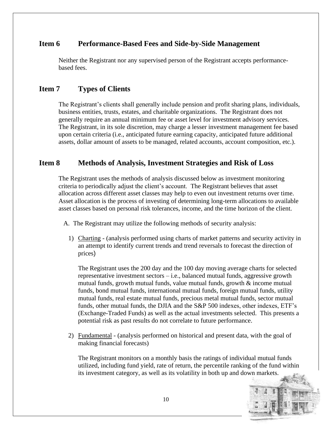#### **Item 6 Performance-Based Fees and Side-by-Side Management**

Neither the Registrant nor any supervised person of the Registrant accepts performancebased fees.

## **Item 7 Types of Clients**

The Registrant's clients shall generally include pension and profit sharing plans, individuals, business entities, trusts, estates, and charitable organizations. The Registrant does not generally require an annual minimum fee or asset level for investment advisory services. The Registrant, in its sole discretion, may charge a lesser investment management fee based upon certain criteria (i.e., anticipated future earning capacity, anticipated future additional assets, dollar amount of assets to be managed, related accounts, account composition, etc.).

#### **Item 8 Methods of Analysis, Investment Strategies and Risk of Loss**

The Registrant uses the methods of analysis discussed below as investment monitoring criteria to periodically adjust the client's account. The Registrant believes that asset allocation across different asset classes may help to even out investment returns over time. Asset allocation is the process of investing of determining long-term allocations to available asset classes based on personal risk tolerances, income, and the time horizon of the client.

- A. The Registrant may utilize the following methods of security analysis:
	- 1) Charting (analysis performed using charts of market patterns and security activity in an attempt to identify current trends and trend reversals to forecast the direction of prices)

The Registrant uses the 200 day and the 100 day moving average charts for selected representative investment sectors – i.e., balanced mutual funds, aggressive growth mutual funds, growth mutual funds, value mutual funds, growth & income mutual funds, bond mutual funds, international mutual funds, foreign mutual funds, utility mutual funds, real estate mutual funds, precious metal mutual funds, sector mutual funds, other mutual funds, the DJIA and the S&P 500 indexes, other indexes, ETF's (Exchange-Traded Funds) as well as the actual investments selected. This presents a potential risk as past results do not correlate to future performance.

2) Fundamental - (analysis performed on historical and present data, with the goal of making financial forecasts)

The Registrant monitors on a monthly basis the ratings of individual mutual funds utilized, including fund yield, rate of return, the percentile ranking of the fund within its investment category, as well as its volatility in both up and down markets.

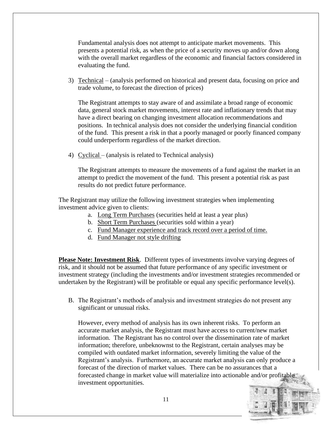Fundamental analysis does not attempt to anticipate market movements. This presents a potential risk, as when the price of a security moves up and/or down along with the overall market regardless of the economic and financial factors considered in evaluating the fund.

3) Technical – (analysis performed on historical and present data, focusing on price and trade volume, to forecast the direction of prices)

The Registrant attempts to stay aware of and assimilate a broad range of economic data, general stock market movements, interest rate and inflationary trends that may have a direct bearing on changing investment allocation recommendations and positions. In technical analysis does not consider the underlying financial condition of the fund. This present a risk in that a poorly managed or poorly financed company could underperform regardless of the market direction.

4) Cyclical – (analysis is related to Technical analysis)

The Registrant attempts to measure the movements of a fund against the market in an attempt to predict the movement of the fund. This present a potential risk as past results do not predict future performance.

The Registrant may utilize the following investment strategies when implementing investment advice given to clients:

- a. Long Term Purchases (securities held at least a year plus)
- b. Short Term Purchases (securities sold within a year)
- c. Fund Manager experience and track record over a period of time.
- d. Fund Manager not style drifting

**Please Note: Investment Risk**. Different types of investments involve varying degrees of risk, and it should not be assumed that future performance of any specific investment or investment strategy (including the investments and/or investment strategies recommended or undertaken by the Registrant) will be profitable or equal any specific performance level(s).

B. The Registrant's methods of analysis and investment strategies do not present any significant or unusual risks.

However, every method of analysis has its own inherent risks. To perform an accurate market analysis, the Registrant must have access to current/new market information. The Registrant has no control over the dissemination rate of market information; therefore, unbeknownst to the Registrant, certain analyses may be compiled with outdated market information, severely limiting the value of the Registrant's analysis. Furthermore, an accurate market analysis can only produce a forecast of the direction of market values. There can be no assurances that a forecasted change in market value will materialize into actionable and/or profitable investment opportunities.

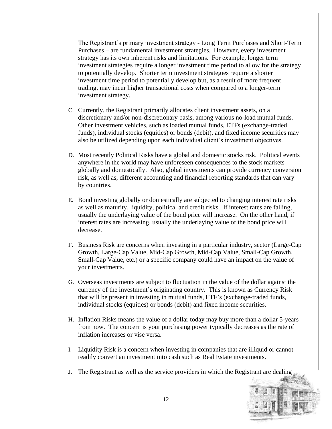The Registrant's primary investment strategy - Long Term Purchases and Short-Term Purchases – are fundamental investment strategies. However, every investment strategy has its own inherent risks and limitations. For example, longer term investment strategies require a longer investment time period to allow for the strategy to potentially develop. Shorter term investment strategies require a shorter investment time period to potentially develop but, as a result of more frequent trading, may incur higher transactional costs when compared to a longer-term investment strategy.

- C. Currently, the Registrant primarily allocates client investment assets, on a discretionary and/or non-discretionary basis, among various no-load mutual funds. Other investment vehicles, such as loaded mutual funds, ETFs (exchange-traded funds), individual stocks (equities) or bonds (debit), and fixed income securities may also be utilized depending upon each individual client's investment objectives.
- D. Most recently Political Risks have a global and domestic stocks risk. Political events anywhere in the world may have unforeseen consequences to the stock markets globally and domestically. Also, global investments can provide currency conversion risk, as well as, different accounting and financial reporting standards that can vary by countries.
- E. Bond investing globally or domestically are subjected to changing interest rate risks as well as maturity, liquidity, political and credit risks. If interest rates are falling, usually the underlaying value of the bond price will increase. On the other hand, if interest rates are increasing, usually the underlaying value of the bond price will decrease.
- F. Business Risk are concerns when investing in a particular industry, sector (Large-Cap Growth, Large-Cap Value, Mid-Cap Growth, Mid-Cap Value, Small-Cap Growth, Small-Cap Value, etc.) or a specific company could have an impact on the value of your investments.
- G. Overseas investments are subject to fluctuation in the value of the dollar against the currency of the investment's originating country. This is known as Currency Risk that will be present in investing in mutual funds, ETF's (exchange-traded funds, individual stocks (equities) or bonds (debit) and fixed income securities.
- H. Inflation Risks means the value of a dollar today may buy more than a dollar 5-years from now. The concern is your purchasing power typically decreases as the rate of inflation increases or vise versa.
- I. Liquidity Risk is a concern when investing in companies that are illiquid or cannot readily convert an investment into cash such as Real Estate investments.
- J. The Registrant as well as the service providers in which the Registrant are dealing

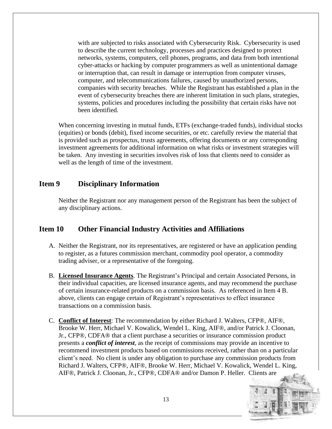with are subjected to risks associated with Cybersecurity Risk. Cybersecurity is used to describe the current technology, processes and practices designed to protect networks, systems, computers, cell phones, programs, and data from both intentional cyber-attacks or hacking by computer programmers as well as unintentional damage or interruption that, can result in damage or interruption from computer viruses, computer, and telecommunications failures, caused by unauthorized persons, companies with security breaches. While the Registrant has established a plan in the event of cybersecurity breaches there are inherent limitation in such plans, strategies, systems, policies and procedures including the possibility that certain risks have not been identified.

When concerning investing in mutual funds, ETFs (exchange-traded funds), individual stocks (equities) or bonds (debit), fixed income securities, or etc. carefully review the material that is provided such as prospectus, trusts agreements, offering documents or any corresponding investment agreements for additional information on what risks or investment strategies will be taken. Any investing in securities involves risk of loss that clients need to consider as well as the length of time of the investment.

#### **Item 9 Disciplinary Information**

Neither the Registrant nor any management person of the Registrant has been the subject of any disciplinary actions.

#### **Item 10 Other Financial Industry Activities and Affiliations**

- A. Neither the Registrant, nor its representatives, are registered or have an application pending to register, as a futures commission merchant, commodity pool operator, a commodity trading adviser, or a representative of the foregoing.
- B. **Licensed Insurance Agents**. The Registrant's Principal and certain Associated Persons, in their individual capacities, are licensed insurance agents, and may recommend the purchase of certain insurance-related products on a commission basis. As referenced in Item 4 B. above, clients can engage certain of Registrant's representatives to effect insurance transactions on a commission basis.
- C. **Conflict of Interest**: The recommendation by either Richard J. Walters, CFP®, AIF®, Brooke W. Herr, Michael V. Kowalick, Wendel L. King, AIF®, and/or Patrick J. Cloonan, Jr., CFP®, CDFA® that a client purchase a securities or insurance commission product presents a *conflict of interest*, as the receipt of commissions may provide an incentive to recommend investment products based on commissions received, rather than on a particular client's need. No client is under any obligation to purchase any commission products from Richard J. Walters, CFP®, AIF®, Brooke W. Herr, Michael V. Kowalick, Wendel L. King, AIF®, Patrick J. Cloonan, Jr., CFP®, CDFA® and/or Damon P. Heller. Clients are

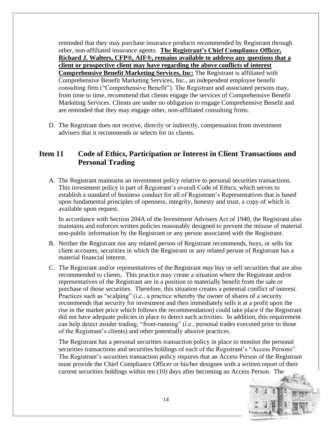reminded that they may purchase insurance products recommended by Registrant through other, non-affiliated insurance agents. **The Registrant's Chief Compliance Officer, Richard J. Walters, CFP®, AIF®, remains available to address any questions that a client or prospective client may have regarding the above conflicts of interest Comprehensive Benefit Marketing Services, Inc:** The Registrant is affiliated with Comprehensive Benefit Marketing Services, Inc., an independent employee benefit consulting firm ("Comprehensive Benefit"). The Registrant and associated persons may, from time to time, recommend that clients engage the services of Comprehensive Benefit Marketing Services. Clients are under no obligation to engage Comprehensive Benefit and are reminded that they may engage other, non-affiliated consulting firms.

D. The Registrant does not receive, directly or indirectly, compensation from investment advisers that it recommends or selects for its clients.

## **Item 11 Code of Ethics, Participation or Interest in Client Transactions and Personal Trading**

A. The Registrant maintains an investment policy relative to personal securities transactions. This investment policy is part of Registrant's overall Code of Ethics, which serves to establish a standard of business conduct for all of Registrant's Representatives that is based upon fundamental principles of openness, integrity, honesty and trust, a copy of which is available upon request.

In accordance with Section 204A of the Investment Advisers Act of 1940, the Registrant also maintains and enforces written policies reasonably designed to prevent the misuse of material non-public information by the Registrant or any person associated with the Registrant.

- B. Neither the Registrant nor any related person of Registrant recommends, buys, or sells for client accounts, securities in which the Registrant or any related person of Registrant has a material financial interest.
- C. The Registrant and/or representatives of the Registrant *may* buy or sell securities that are also recommended to clients. This practice may create a situation where the Registrant and/or representatives of the Registrant are in a position to materially benefit from the sale or purchase of those securities. Therefore, this situation creates a potential conflict of interest. Practices such as "scalping" (i.e., a practice whereby the owner of shares of a security recommends that security for investment and then immediately sells it at a profit upon the rise in the market price which follows the recommendation) could take place if the Registrant did not have adequate policies in place to detect such activities. In addition, this requirement can help detect insider trading, "front-running" (i.e., personal trades executed prior to those of the Registrant's clients) and other potentially abusive practices.

The Registrant has a personal securities transaction policy in place to monitor the personal securities transactions and securities holdings of each of the Registrant's "Access Persons". The Registrant's securities transaction policy requires that an Access Person of the Registrant must provide the Chief Compliance Officer or his/her designee with a written report of their current securities holdings within ten (10) days after becoming an Access Person. The

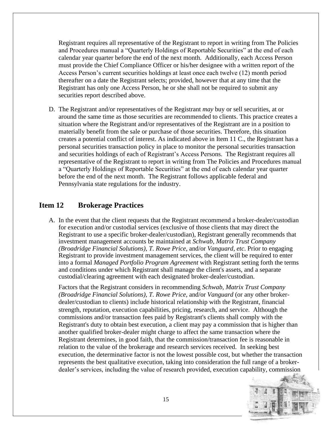Registrant requires all representative of the Registrant to report in writing from The Policies and Procedures manual a "Quarterly Holdings of Reportable Securities" at the end of each calendar year quarter before the end of the next month. Additionally, each Access Person must provide the Chief Compliance Officer or his/her designee with a written report of the Access Person's current securities holdings at least once each twelve (12) month period thereafter on a date the Registrant selects; provided, however that at any time that the Registrant has only one Access Person, he or she shall not be required to submit any securities report described above.

D. The Registrant and/or representatives of the Registrant *may* buy or sell securities, at or around the same time as those securities are recommended to clients. This practice creates a situation where the Registrant and/or representatives of the Registrant are in a position to materially benefit from the sale or purchase of those securities. Therefore, this situation creates a potential conflict of interest. As indicated above in Item 11 C., the Registrant has a personal securities transaction policy in place to monitor the personal securities transaction and securities holdings of each of Registrant's Access Persons. The Registrant requires all representative of the Registrant to report in writing from The Policies and Procedures manual a "Quarterly Holdings of Reportable Securities" at the end of each calendar year quarter before the end of the next month. The Registrant follows applicable federal and Pennsylvania state regulations for the industry.

## **Item 12 Brokerage Practices**

A. In the event that the client requests that the Registrant recommend a broker-dealer/custodian for execution and/or custodial services (exclusive of those clients that may direct the Registrant to use a specific broker-dealer/custodian), Registrant generally recommends that investment management accounts be maintained at *Schwab, Matrix Trust Company (Broadridge Financial Solutions), T. Rowe Price,* and/or *Vanguard, etc*. Prior to engaging Registrant to provide investment management services, the client will be required to enter into a formal *Managed Portfolio Program Agreement* with Registrant setting forth the terms and conditions under which Registrant shall manage the client's assets, and a separate custodial/clearing agreement with each designated broker-dealer/custodian.

Factors that the Registrant considers in recommending *Schwab, Matrix Trust Company (Broadridge Financial Solutions), T. Rowe Price,* and/or *Vanguard* (or any other brokerdealer/custodian to clients) include historical relationship with the Registrant, financial strength, reputation, execution capabilities, pricing, research, and service. Although the commissions and/or transaction fees paid by Registrant's clients shall comply with the Registrant's duty to obtain best execution, a client may pay a commission that is higher than another qualified broker-dealer might charge to affect the same transaction where the Registrant determines, in good faith, that the commission/transaction fee is reasonable in relation to the value of the brokerage and research services received. In seeking best execution, the determinative factor is not the lowest possible cost, but whether the transaction represents the best qualitative execution, taking into consideration the full range of a brokerdealer's services, including the value of research provided, execution capability, commission

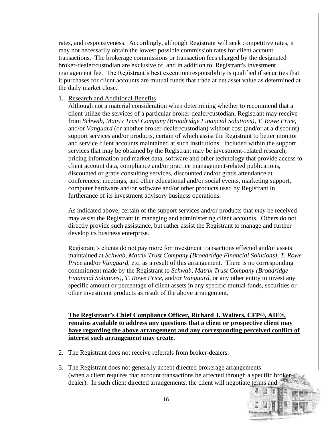rates, and responsiveness. Accordingly, although Registrant will seek competitive rates, it may not necessarily obtain the lowest possible commission rates for client account transactions. The brokerage commissions or transaction fees charged by the designated broker-dealer/custodian are exclusive of, and in addition to, Registrant's investment management fee. The Registrant's best execution responsibility is qualified if securities that it purchases for client accounts are mutual funds that trade at net asset value as determined at the daily market close.

#### 1. Research and Additional Benefits

Although not a material consideration when determining whether to recommend that a client utilize the services of a particular broker-dealer/custodian, Registrant may receive from *Schwab, Matrix Trust Company (Broadridge Financial Solutions), T. Rowe Price,*  and/or *Vanguard* (or another broker-dealer/custodian) without cost (and/or at a discount) support services and/or products, certain of which assist the Registrant to better monitor and service client accounts maintained at such institutions. Included within the support services that may be obtained by the Registrant may be investment-related research, pricing information and market data, software and other technology that provide access to client account data, compliance and/or practice management-related publications, discounted or gratis consulting services, discounted and/or gratis attendance at conferences, meetings, and other educational and/or social events, marketing support, computer hardware and/or software and/or other products used by Registrant in furtherance of its investment advisory business operations.

As indicated above, certain of the support services and/or products that *may* be received may assist the Registrant in managing and administering client accounts. Others do not directly provide such assistance, but rather assist the Registrant to manage and further develop its business enterprise.

Registrant's clients do not pay more for investment transactions effected and/or assets maintained at *Schwab, Matrix Trust Company (Broadridge Financial Solutions), T. Rowe Price* and/or *Vanguard*, etc. as a result of this arrangement. There is no corresponding commitment made by the Registrant to *Schwab, Matrix Trust Company (Broadridge Financial Solutions), T. Rowe Price,* and/or *Vanguard*, or any other entity to invest any specific amount or percentage of client assets in any specific mutual funds, securities or other investment products as result of the above arrangement.

**The Registrant's Chief Compliance Officer, Richard J. Walters, CFP®, AIF®, remains available to address any questions that a client or prospective client may have regarding the above arrangement and any corresponding perceived conflict of interest such arrangement may create.** 

- 2. The Registrant does not receive referrals from broker-dealers.
- 3. The Registrant does not generally accept directed brokerage arrangements (when a client requires that account transactions be affected through a specific brokerdealer). In such client directed arrangements, the client will negotiate terms and

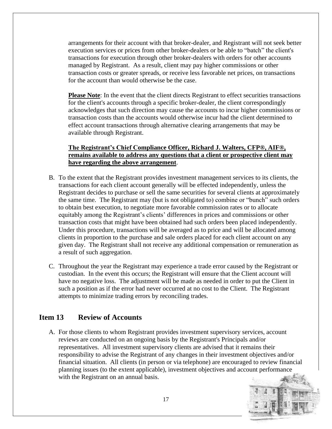arrangements for their account with that broker-dealer, and Registrant will not seek better execution services or prices from other broker-dealers or be able to "batch" the client's transactions for execution through other broker-dealers with orders for other accounts managed by Registrant. As a result, client may pay higher commissions or other transaction costs or greater spreads, or receive less favorable net prices, on transactions for the account than would otherwise be the case.

**Please Note**: In the event that the client directs Registrant to effect securities transactions for the client's accounts through a specific broker-dealer, the client correspondingly acknowledges that such direction may cause the accounts to incur higher commissions or transaction costs than the accounts would otherwise incur had the client determined to effect account transactions through alternative clearing arrangements that may be available through Registrant.

**The Registrant's Chief Compliance Officer, Richard J. Walters, CFP®, AIF®, remains available to address any questions that a client or prospective client may have regarding the above arrangement**.

- B. To the extent that the Registrant provides investment management services to its clients, the transactions for each client account generally will be effected independently, unless the Registrant decides to purchase or sell the same securities for several clients at approximately the same time. The Registrant may (but is not obligated to) combine or "bunch" such orders to obtain best execution, to negotiate more favorable commission rates or to allocate equitably among the Registrant's clients' differences in prices and commissions or other transaction costs that might have been obtained had such orders been placed independently. Under this procedure, transactions will be averaged as to price and will be allocated among clients in proportion to the purchase and sale orders placed for each client account on any given day. The Registrant shall not receive any additional compensation or remuneration as a result of such aggregation.
- C. Throughout the year the Registrant may experience a trade error caused by the Registrant or custodian. In the event this occurs; the Registrant will ensure that the Client account will have no negative loss. The adjustment will be made as needed in order to put the Client in such a position as if the error had never occurred at no cost to the Client. The Registrant attempts to minimize trading errors by reconciling trades.

## **Item 13 Review of Accounts**

A. For those clients to whom Registrant provides investment supervisory services, account reviews are conducted on an ongoing basis by the Registrant's Principals and/or representatives. All investment supervisory clients are advised that it remains their responsibility to advise the Registrant of any changes in their investment objectives and/or financial situation. All clients (in person or via telephone) are encouraged to review financial planning issues (to the extent applicable), investment objectives and account performance with the Registrant on an annual basis.

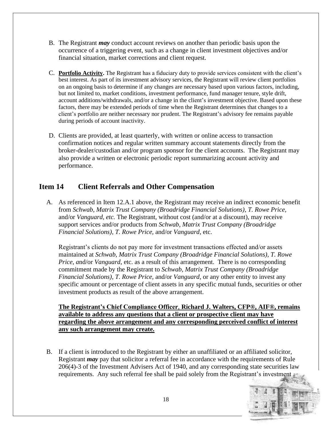- B. The Registrant *may* conduct account reviews on another than periodic basis upon the occurrence of a triggering event, such as a change in client investment objectives and/or financial situation, market corrections and client request.
- C. **Portfolio Activity.** The Registrant has a fiduciary duty to provide services consistent with the client's best interest. As part of its investment advisory services, the Registrant will review client portfolios on an ongoing basis to determine if any changes are necessary based upon various factors, including, but not limited to, market conditions, investment performance, fund manager tenure, style drift, account additions/withdrawals, and/or a change in the client's investment objective. Based upon these factors, there may be extended periods of time when the Registrant determines that changes to a client's portfolio are neither necessary nor prudent. The Registrant's advisory fee remains payable during periods of account inactivity.
- D. Clients are provided, at least quarterly, with written or online access to transaction confirmation notices and regular written summary account statements directly from the broker-dealer/custodian and/or program sponsor for the client accounts. The Registrant may also provide a written or electronic periodic report summarizing account activity and performance.

## **Item 14 Client Referrals and Other Compensation**

A. As referenced in Item 12.A.1 above, the Registrant may receive an indirect economic benefit from *Schwab, Matrix Trust Company (Broadridge Financial Solutions), T. Rowe Price,*  and/or *Vanguard, etc.* The Registrant, without cost (and/or at a discount), may receive support services and/or products from *Schwab, Matrix Trust Company (Broadridge Financial Solutions), T. Rowe Price,* and/or *Vanguard*, etc.

Registrant's clients do not pay more for investment transactions effected and/or assets maintained at *Schwab, Matrix Trust Company (Broadridge Financial Solutions), T. Rowe Price, and/or Vanguard, etc. as a result of this arrangement. There is no corresponding* commitment made by the Registrant to *Schwab, Matrix Trust Company (Broadridge Financial Solutions), T. Rowe Price,* and/or *Vanguard,* or any other entity to invest any specific amount or percentage of client assets in any specific mutual funds, securities or other investment products as result of the above arrangement.

**The Registrant's Chief Compliance Officer**, **Richard J. Walters, CFP®, AIF®, remains available to address any questions that a client or prospective client may have regarding the above arrangement and any corresponding perceived conflict of interest any such arrangement may create.**

B. If a client is introduced to the Registrant by either an unaffiliated or an affiliated solicitor, Registrant *may* pay that solicitor a referral fee in accordance with the requirements of Rule 206(4)-3 of the Investment Advisers Act of 1940, and any corresponding state securities law requirements. Any such referral fee shall be paid solely from the Registrant's investment

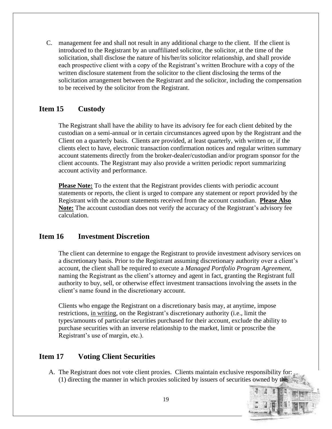C. management fee and shall not result in any additional charge to the client. If the client is introduced to the Registrant by an unaffiliated solicitor, the solicitor, at the time of the solicitation, shall disclose the nature of his/her/its solicitor relationship, and shall provide each prospective client with a copy of the Registrant's written Brochure with a copy of the written disclosure statement from the solicitor to the client disclosing the terms of the solicitation arrangement between the Registrant and the solicitor, including the compensation to be received by the solicitor from the Registrant.

## **Item 15 Custody**

The Registrant shall have the ability to have its advisory fee for each client debited by the custodian on a semi-annual or in certain circumstances agreed upon by the Registrant and the Client on a quarterly basis. Clients are provided, at least quarterly, with written or, if the clients elect to have, electronic transaction confirmation notices and regular written summary account statements directly from the broker-dealer/custodian and/or program sponsor for the client accounts. The Registrant may also provide a written periodic report summarizing account activity and performance.

**Please Note:** To the extent that the Registrant provides clients with periodic account statements or reports, the client is urged to compare any statement or report provided by the Registrant with the account statements received from the account custodian. **Please Also Note:** The account custodian does not verify the accuracy of the Registrant's advisory fee calculation.

## **Item 16 Investment Discretion**

The client can determine to engage the Registrant to provide investment advisory services on a discretionary basis. Prior to the Registrant assuming discretionary authority over a client's account, the client shall be required to execute a *Managed Portfolio Program Agreement*, naming the Registrant as the client's attorney and agent in fact, granting the Registrant full authority to buy, sell, or otherwise effect investment transactions involving the assets in the client's name found in the discretionary account.

Clients who engage the Registrant on a discretionary basis may, at anytime, impose restrictions, in writing, on the Registrant's discretionary authority (i.e., limit the types/amounts of particular securities purchased for their account, exclude the ability to purchase securities with an inverse relationship to the market, limit or proscribe the Registrant's use of margin, etc.).

## **Item 17 Voting Client Securities**

A. The Registrant does not vote client proxies. Clients maintain exclusive responsibility for: (1) directing the manner in which proxies solicited by issuers of securities owned by the